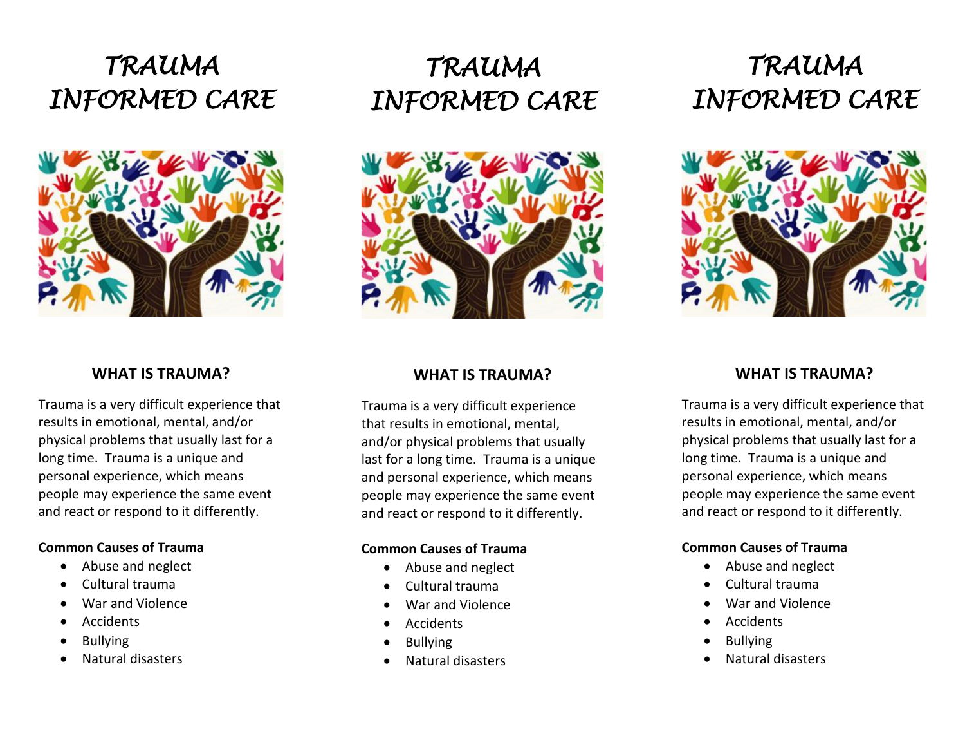



## **WHAT IS TRAUMA?**

Trauma is a very difficult experience that results in emotional, mental, and/or physical problems that usually last for a long time. Trauma is a unique and personal experience, which means people may experience the same event and react or respond to it differently.

## **Common Causes of Trauma**

- Abuse and neglect
- Cultural trauma
- War and Violence
- Accidents
- Bullying
- Natural disasters